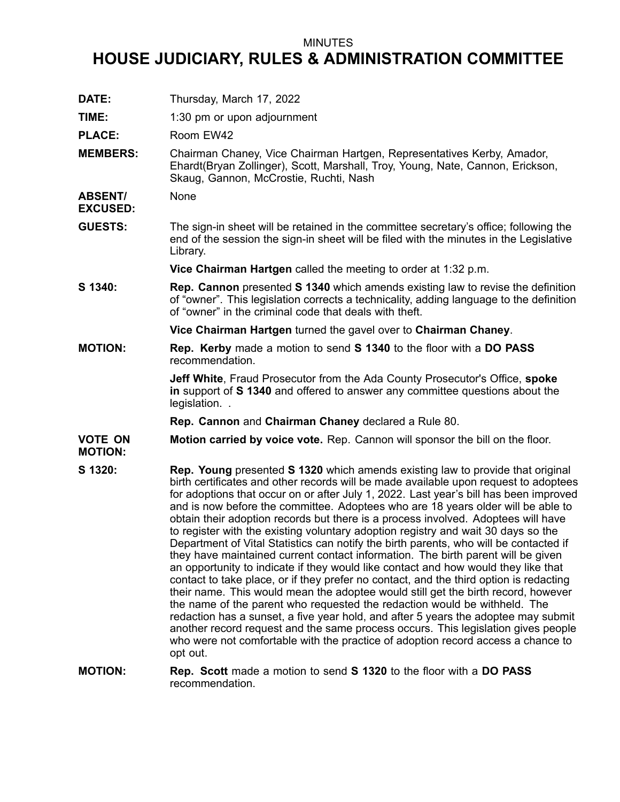## MINUTES

# **HOUSE JUDICIARY, RULES & ADMINISTRATION COMMITTEE**

- **DATE:** Thursday, March 17, 2022 **TIME:** 1:30 pm or upon adjournment PLACE: Room EW42 **MEMBERS:** Chairman Chaney, Vice Chairman Hartgen, Representatives Kerby, Amador, Ehardt(Bryan Zollinger), Scott, Marshall, Troy, Young, Nate, Cannon, Erickson, Skaug, Gannon, McCrostie, Ruchti, Nash **ABSENT/ EXCUSED:** None **GUESTS:** The sign-in sheet will be retained in the committee secretary's office; following the end of the session the sign-in sheet will be filed with the minutes in the Legislative Library. **Vice Chairman Hartgen** called the meeting to order at 1:32 p.m. **S 1340: Rep. Cannon** presented **S 1340** which amends existing law to revise the definition of "owner". This legislation corrects <sup>a</sup> technicality, adding language to the definition of "owner" in the criminal code that deals with theft. **Vice Chairman Hartgen** turned the gavel over to **Chairman Chaney**. **MOTION: Rep. Kerby** made <sup>a</sup> motion to send **S 1340** to the floor with <sup>a</sup> **DO PASS** recommendation. **Jeff White**, Fraud Prosecutor from the Ada County Prosecutor's Office, **spoke in** support of **S 1340** and offered to answer any committee questions about the legislation... **Rep. Cannon** and **Chairman Chaney** declared <sup>a</sup> Rule 80. **VOTE ON MOTION: Motion carried by voice vote.** Rep. Cannon will sponsor the bill on the floor. **S 1320: Rep. Young** presented **S 1320** which amends existing law to provide that original birth certificates and other records will be made available upon request to adoptees for adoptions that occur on or after July 1, 2022. Last year's bill has been improved and is now before the committee. Adoptees who are 18 years older will be able to obtain their adoption records but there is <sup>a</sup> process involved. Adoptees will have to register with the existing voluntary adoption registry and wait 30 days so the Department of Vital Statistics can notify the birth parents, who will be contacted if they have maintained current contact information. The birth parent will be given an opportunity to indicate if they would like contact and how would they like that contact to take place, or if they prefer no contact, and the third option is redacting their name. This would mean the adoptee would still get the birth record, however the name of the parent who requested the redaction would be withheld. The redaction has <sup>a</sup> sunset, <sup>a</sup> five year hold, and after 5 years the adoptee may submit another record request and the same process occurs. This legislation gives people who were not comfortable with the practice of adoption record access <sup>a</sup> chance to opt out.
- **MOTION: Rep. Scott** made <sup>a</sup> motion to send **S 1320** to the floor with <sup>a</sup> **DO PASS** recommendation.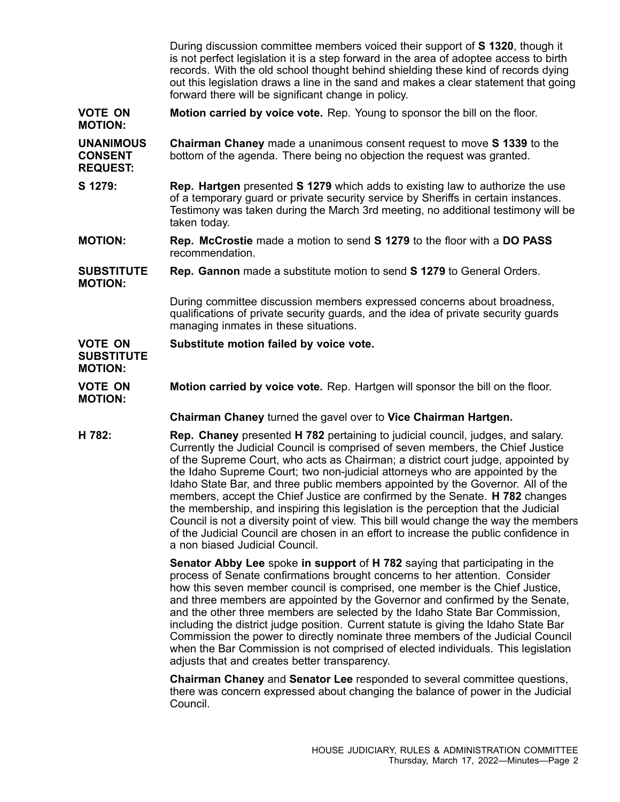During discussion committee members voiced their support of **S 1320**, though it is not perfect legislation it is <sup>a</sup> step forward in the area of adoptee access to birth records. With the old school thought behind shielding these kind of records dying out this legislation draws <sup>a</sup> line in the sand and makes <sup>a</sup> clear statement that going forward there will be significant change in policy.

- **VOTE ON MOTION: Motion carried by voice vote.** Rep. Young to sponsor the bill on the floor.
- **UNANIMOUS CONSENT REQUEST: Chairman Chaney** made <sup>a</sup> unanimous consent request to move **S 1339** to the bottom of the agenda. There being no objection the request was granted.
- **S 1279: Rep. Hartgen** presented **S 1279** which adds to existing law to authorize the use of <sup>a</sup> temporary guard or private security service by Sheriffs in certain instances. Testimony was taken during the March 3rd meeting, no additional testimony will be taken today.
- **MOTION: Rep. McCrostie** made <sup>a</sup> motion to send **S 1279** to the floor with <sup>a</sup> **DO PASS** recommendation.

### **SUBSTITUTE MOTION: Rep. Gannon** made <sup>a</sup> substitute motion to send **S 1279** to General Orders.

During committee discussion members expressed concerns about broadness, qualifications of private security guards, and the idea of private security guards managing inmates in these situations.

#### **VOTE ON Substitute motion failed by voice vote.**

## **SUBSTITUTE MOTION:**

**VOTE ON MOTION: Motion carried by voice vote.** Rep. Hartgen will sponsor the bill on the floor.

**Chairman Chaney** turned the gavel over to **Vice Chairman Hartgen.**

**H 782: Rep. Chaney** presented **H 782** pertaining to judicial council, judges, and salary. Currently the Judicial Council is comprised of seven members, the Chief Justice of the Supreme Court, who acts as Chairman; <sup>a</sup> district court judge, appointed by the Idaho Supreme Court; two non-judicial attorneys who are appointed by the Idaho State Bar, and three public members appointed by the Governor. All of the members, accept the Chief Justice are confirmed by the Senate. **H 782** changes the membership, and inspiring this legislation is the perception that the Judicial Council is not <sup>a</sup> diversity point of view. This bill would change the way the members of the Judicial Council are chosen in an effort to increase the public confidence in a non biased Judicial Council.

> **Senator Abby Lee** spoke **in support** of **H 782** saying that participating in the process of Senate confirmations brought concerns to her attention. Consider how this seven member council is comprised, one member is the Chief Justice, and three members are appointed by the Governor and confirmed by the Senate, and the other three members are selected by the Idaho State Bar Commission, including the district judge position. Current statute is giving the Idaho State Bar Commission the power to directly nominate three members of the Judicial Council when the Bar Commission is not comprised of elected individuals. This legislation adjusts that and creates better transparency.

> **Chairman Chaney** and **Senator Lee** responded to several committee questions, there was concern expressed about changing the balance of power in the Judicial Council.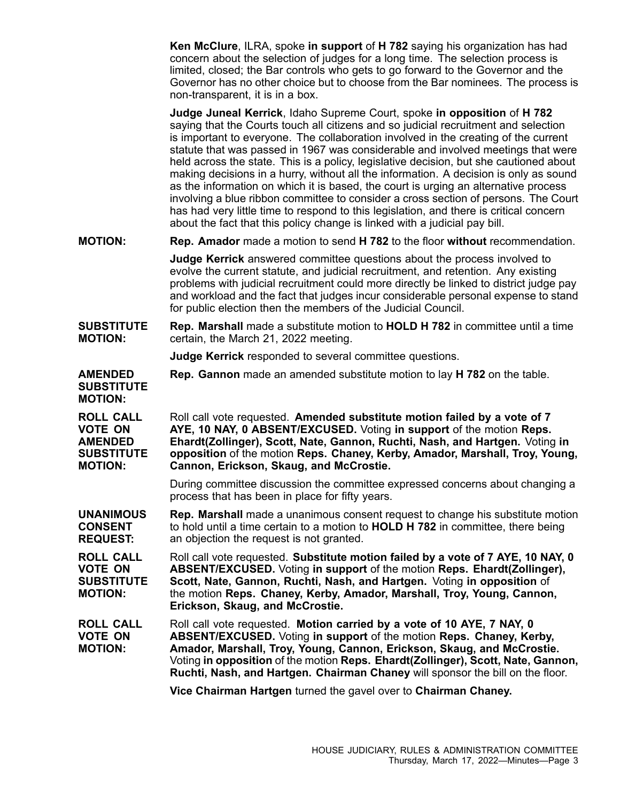**Ken McClure**, ILRA, spoke **in support** of **H 782** saying his organization has had concern about the selection of judges for <sup>a</sup> long time. The selection process is limited, closed; the Bar controls who gets to go forward to the Governor and the Governor has no other choice but to choose from the Bar nominees. The process is non-transparent, it is in <sup>a</sup> box.

**Judge Juneal Kerrick**, Idaho Supreme Court, spoke **in opposition** of **H 782** saying that the Courts touch all citizens and so judicial recruitment and selection is important to everyone. The collaboration involved in the creating of the current statute that was passed in 1967 was considerable and involved meetings that were held across the state. This is <sup>a</sup> policy, legislative decision, but she cautioned about making decisions in <sup>a</sup> hurry, without all the information. A decision is only as sound as the information on which it is based, the court is urging an alternative process involving <sup>a</sup> blue ribbon committee to consider <sup>a</sup> cross section of persons. The Court has had very little time to respond to this legislation, and there is critical concern about the fact that this policy change is linked with <sup>a</sup> judicial pay bill.

**MOTION: Rep. Amador** made <sup>a</sup> motion to send **H 782** to the floor **without** recommendation.

**Judge Kerrick** answered committee questions about the process involved to evolve the current statute, and judicial recruitment, and retention. Any existing problems with judicial recruitment could more directly be linked to district judge pay and workload and the fact that judges incur considerable personal expense to stand for public election then the members of the Judicial Council.

#### **SUBSTITUTE MOTION: Rep. Marshall** made <sup>a</sup> substitute motion to **HOLD H 782** in committee until <sup>a</sup> time certain, the March 21, 2022 meeting.

**Judge Kerrick** responded to several committee questions.

**AMENDED Rep. Gannon** made an amended substitute motion to lay **H 782** on the table.

**SUBSTITUTE MOTION:**

**ROLL CALL VOTE ON AMENDED SUBSTITUTE MOTION:** Roll call vote requested. **Amended substitute motion failed by <sup>a</sup> vote of 7 AYE, 10 NAY, 0 ABSENT/EXCUSED.** Voting **in support** of the motion **Reps. Ehardt(Zollinger), Scott, Nate, Gannon, Ruchti, Nash, and Hartgen.** Voting **in opposition** of the motion **Reps. Chaney, Kerby, Amador, Marshall, Troy, Young, Cannon, Erickson, Skaug, and McCrostie.**

> During committee discussion the committee expressed concerns about changing <sup>a</sup> process that has been in place for fifty years.

**UNANIMOUS CONSENT REQUEST: Rep. Marshall** made <sup>a</sup> unanimous consent request to change his substitute motion to hold until <sup>a</sup> time certain to <sup>a</sup> motion to **HOLD H 782** in committee, there being an objection the request is not granted.

**ROLL CALL VOTE ON SUBSTITUTE MOTION:** Roll call vote requested. **Substitute motion failed by <sup>a</sup> vote of 7 AYE, 10 NAY, 0 ABSENT/EXCUSED.** Voting **in support** of the motion **Reps. Ehardt(Zollinger), Scott, Nate, Gannon, Ruchti, Nash, and Hartgen.** Voting **in opposition** of the motion **Reps. Chaney, Kerby, Amador, Marshall, Troy, Young, Cannon, Erickson, Skaug, and McCrostie.**

**ROLL CALL VOTE ON MOTION:** Roll call vote requested. **Motion carried by <sup>a</sup> vote of 10 AYE, 7 NAY, 0 ABSENT/EXCUSED.** Voting **in support** of the motion **Reps. Chaney, Kerby, Amador, Marshall, Troy, Young, Cannon, Erickson, Skaug, and McCrostie.** Voting **in opposition** of the motion **Reps. Ehardt(Zollinger), Scott, Nate, Gannon, Ruchti, Nash, and Hartgen. Chairman Chaney** will sponsor the bill on the floor.

**Vice Chairman Hartgen** turned the gavel over to **Chairman Chaney.**